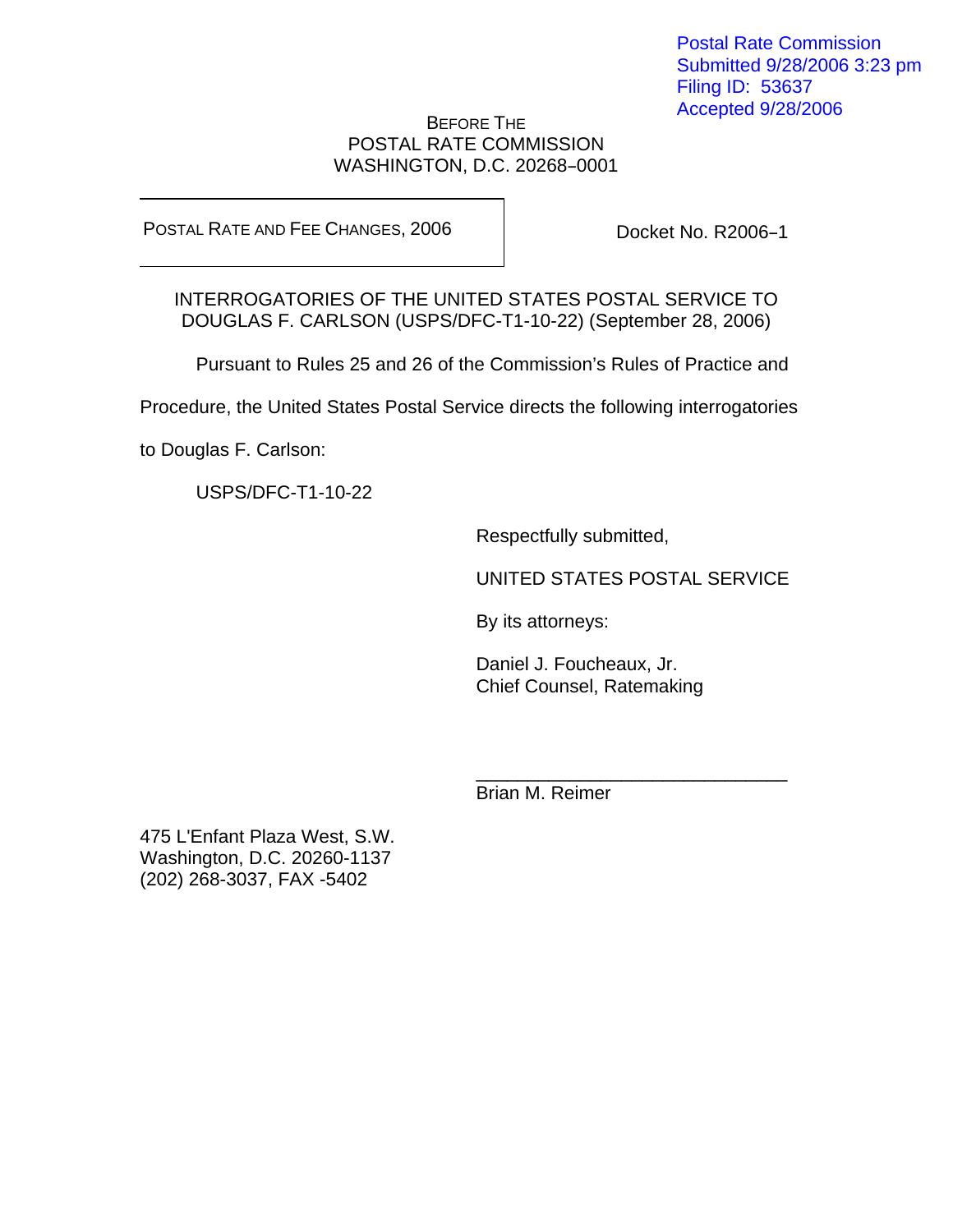## BEFORE THE POSTAL RATE COMMISSION WASHINGTON, D.C. 20268-0001

POSTAL RATE AND FEE CHANGES, 2006

Docket No. R2006-1

INTERROGATORIES OF THE UNITED STATES POSTAL SERVICE TO DOUGLAS F. CARLSON (USPS/DFC-T1-10-22) (September 28, 2006)

Pursuant to Rules 25 and 26 of the Commission's Rules of Practice and

Procedure, the United States Postal Service directs the following interrogatories

 $\frac{1}{\sqrt{2\pi}}$  , which is a set of the set of the set of the set of the set of the set of the set of the set of the set of the set of the set of the set of the set of the set of the set of the set of the set of the set of

to Douglas F. Carlson:

USPS/DFC-T1-10-22

Respectfully submitted,

UNITED STATES POSTAL SERVICE

By its attorneys:

Daniel J. Foucheaux, Jr. Chief Counsel, Ratemaking

Brian M. Reimer

475 L'Enfant Plaza West, S.W. Washington, D.C. 20260-1137 (202) 268-3037, FAX -5402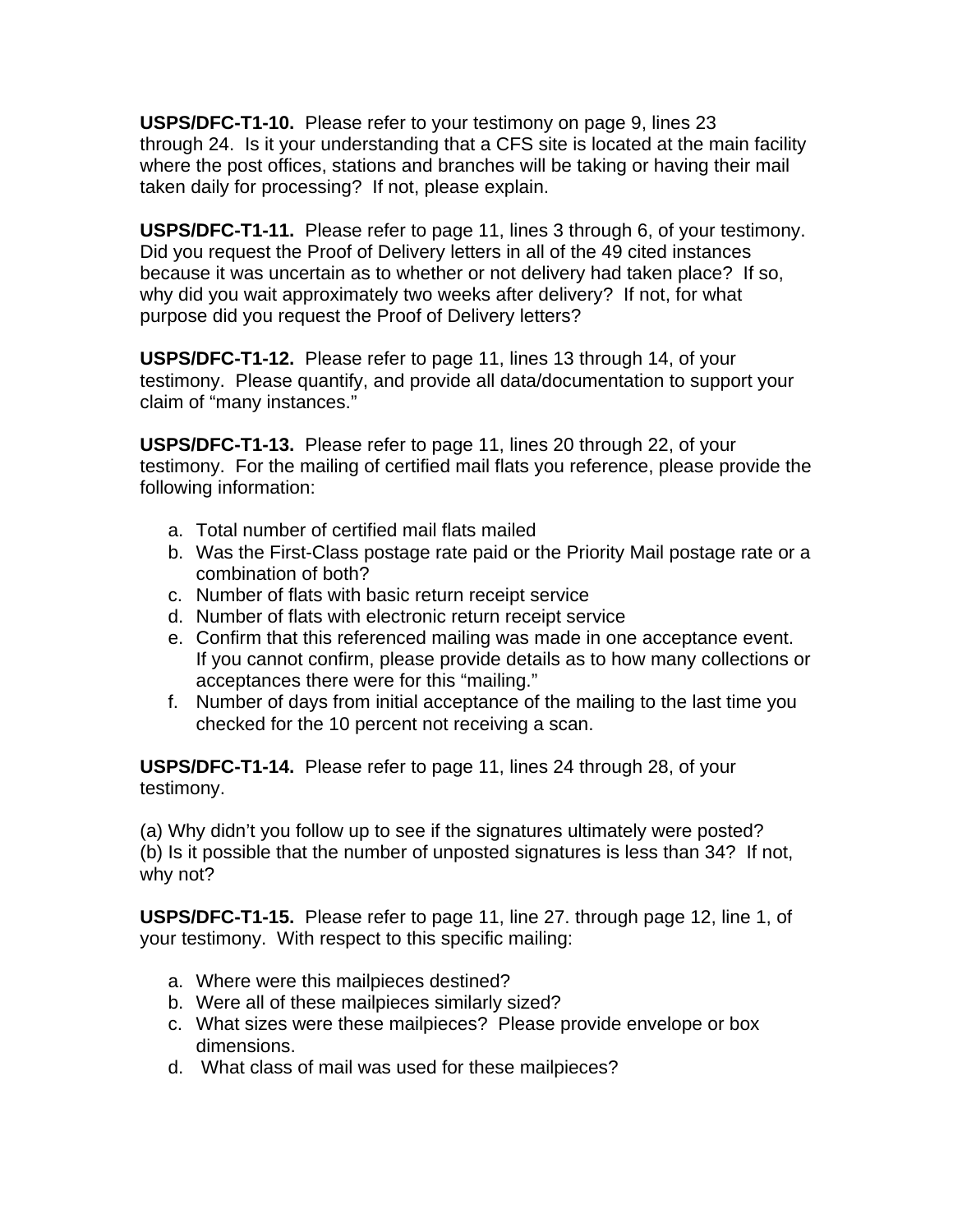**USPS/DFC-T1-10.** Please refer to your testimony on page 9, lines 23 through 24. Is it your understanding that a CFS site is located at the main facility where the post offices, stations and branches will be taking or having their mail taken daily for processing? If not, please explain.

**USPS/DFC-T1-11.** Please refer to page 11, lines 3 through 6, of your testimony. Did you request the Proof of Delivery letters in all of the 49 cited instances because it was uncertain as to whether or not delivery had taken place? If so, why did you wait approximately two weeks after delivery? If not, for what purpose did you request the Proof of Delivery letters?

**USPS/DFC-T1-12.** Please refer to page 11, lines 13 through 14, of your testimony. Please quantify, and provide all data/documentation to support your claim of "many instances."

**USPS/DFC-T1-13.** Please refer to page 11, lines 20 through 22, of your testimony. For the mailing of certified mail flats you reference, please provide the following information:

- a. Total number of certified mail flats mailed
- b. Was the First-Class postage rate paid or the Priority Mail postage rate or a combination of both?
- c. Number of flats with basic return receipt service
- d. Number of flats with electronic return receipt service
- e. Confirm that this referenced mailing was made in one acceptance event. If you cannot confirm, please provide details as to how many collections or acceptances there were for this "mailing."
- f. Number of days from initial acceptance of the mailing to the last time you checked for the 10 percent not receiving a scan.

**USPS/DFC-T1-14.** Please refer to page 11, lines 24 through 28, of your testimony.

(a) Why didn't you follow up to see if the signatures ultimately were posted? (b) Is it possible that the number of unposted signatures is less than 34? If not, why not?

**USPS/DFC-T1-15.** Please refer to page 11, line 27. through page 12, line 1, of your testimony. With respect to this specific mailing:

- a. Where were this mailpieces destined?
- b. Were all of these mailpieces similarly sized?
- c. What sizes were these mailpieces? Please provide envelope or box dimensions.
- d. What class of mail was used for these mailpieces?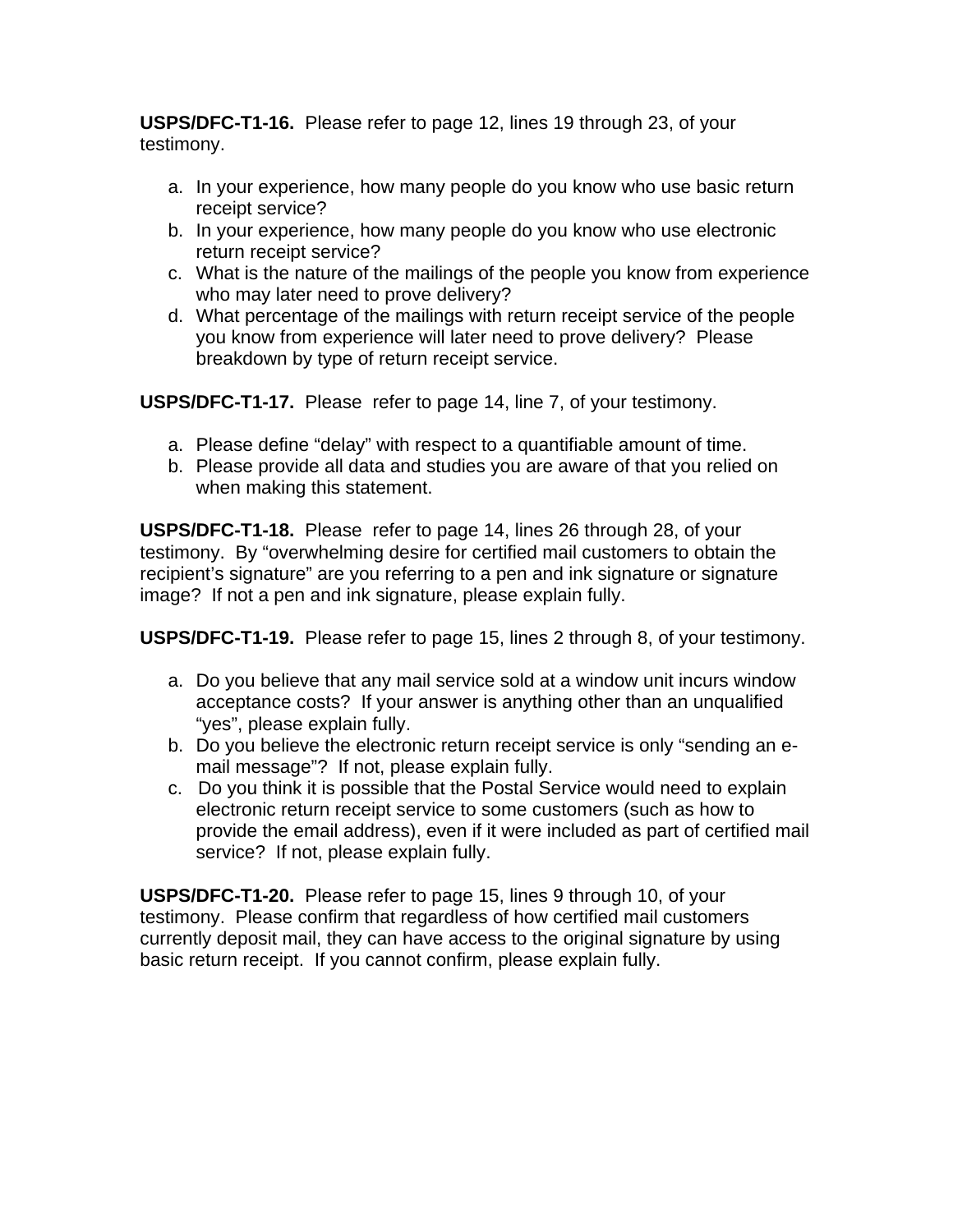**USPS/DFC-T1-16.** Please refer to page 12, lines 19 through 23, of your testimony.

- a. In your experience, how many people do you know who use basic return receipt service?
- b. In your experience, how many people do you know who use electronic return receipt service?
- c. What is the nature of the mailings of the people you know from experience who may later need to prove delivery?
- d. What percentage of the mailings with return receipt service of the people you know from experience will later need to prove delivery? Please breakdown by type of return receipt service.

**USPS/DFC-T1-17.** Please refer to page 14, line 7, of your testimony.

- a. Please define "delay" with respect to a quantifiable amount of time.
- b. Please provide all data and studies you are aware of that you relied on when making this statement.

**USPS/DFC-T1-18.** Please refer to page 14, lines 26 through 28, of your testimony. By "overwhelming desire for certified mail customers to obtain the recipient's signature" are you referring to a pen and ink signature or signature image? If not a pen and ink signature, please explain fully.

**USPS/DFC-T1-19.** Please refer to page 15, lines 2 through 8, of your testimony.

- a. Do you believe that any mail service sold at a window unit incurs window acceptance costs? If your answer is anything other than an unqualified "yes", please explain fully.
- b. Do you believe the electronic return receipt service is only "sending an email message"? If not, please explain fully.
- c. Do you think it is possible that the Postal Service would need to explain electronic return receipt service to some customers (such as how to provide the email address), even if it were included as part of certified mail service? If not, please explain fully.

**USPS/DFC-T1-20.** Please refer to page 15, lines 9 through 10, of your testimony. Please confirm that regardless of how certified mail customers currently deposit mail, they can have access to the original signature by using basic return receipt. If you cannot confirm, please explain fully.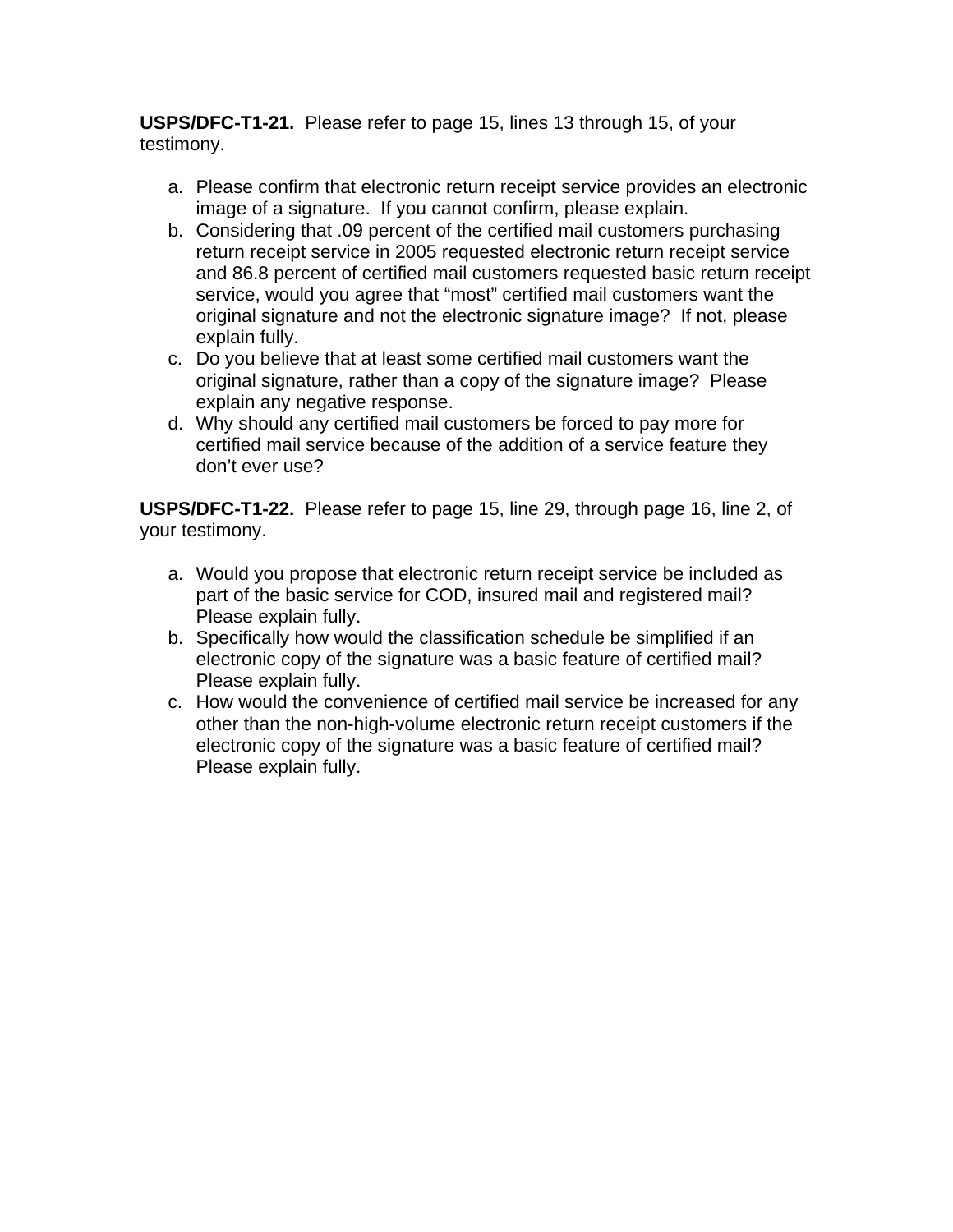**USPS/DFC-T1-21.** Please refer to page 15, lines 13 through 15, of your testimony.

- a. Please confirm that electronic return receipt service provides an electronic image of a signature. If you cannot confirm, please explain.
- b. Considering that .09 percent of the certified mail customers purchasing return receipt service in 2005 requested electronic return receipt service and 86.8 percent of certified mail customers requested basic return receipt service, would you agree that "most" certified mail customers want the original signature and not the electronic signature image? If not, please explain fully.
- c. Do you believe that at least some certified mail customers want the original signature, rather than a copy of the signature image? Please explain any negative response.
- d. Why should any certified mail customers be forced to pay more for certified mail service because of the addition of a service feature they don't ever use?

**USPS/DFC-T1-22.** Please refer to page 15, line 29, through page 16, line 2, of your testimony.

- a. Would you propose that electronic return receipt service be included as part of the basic service for COD, insured mail and registered mail? Please explain fully.
- b. Specifically how would the classification schedule be simplified if an electronic copy of the signature was a basic feature of certified mail? Please explain fully.
- c. How would the convenience of certified mail service be increased for any other than the non-high-volume electronic return receipt customers if the electronic copy of the signature was a basic feature of certified mail? Please explain fully.